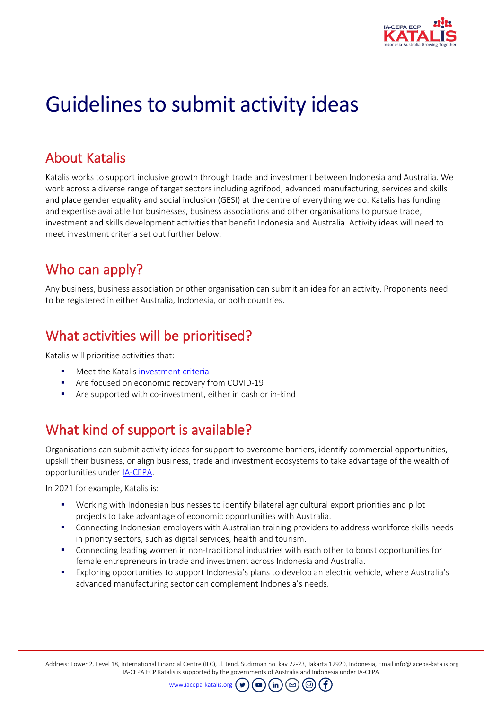

# Guidelines to submit activity ideas

### About Katalis

Katalis works to support inclusive growth through trade and investment between Indonesia and Australia. We work across a diverse range of target sectors including agrifood, advanced manufacturing, services and skills and place gender equality and social inclusion (GESI) at the centre of everything we do. Katalis has funding and expertise available for businesses, business associations and other organisations to pursue trade, investment and skills development activities that benefit Indonesia and Australia. Activity ideas will need to meet investment criteria set out further below.

### Who can apply?

Any business, business association or other organisation can submit an idea for an activity. Proponents need to be registered in either Australia, Indonesia, or both countries.

### What activities will be prioritised?

Katalis will prioritise activities that:

- Meet the Katalis [investment criteria](https://www.iacepa-katalis.org/about-katalis/#opportunities-for-your-business)
- Are focused on economic recovery from COVID-19
- Are supported with co-investment, either in cash or in-kind

# What kind of support is available?

Organisations can submit activity ideas for support to overcome barriers, identify commercial opportunities, upskill their business, or align business, trade and investment ecosystems to take advantage of the wealth of opportunities under [IA-CEPA.](https://www.iacepa-katalis.org/about-katalis/#about-ia-cepa)

In 2021 for example, Katalis is:

- Working with Indonesian businesses to identify bilateral agricultural export priorities and pilot projects to take advantage of economic opportunities with Australia.
- Connecting Indonesian employers with Australian training providers to address workforce skills needs in priority sectors, such as digital services, health and tourism.
- Connecting leading women in non-traditional industries with each other to boost opportunities for female entrepreneurs in trade and investment across Indonesia and Australia.
- Exploring opportunities to support Indonesia's plans to develop an electric vehicle, where Australia's advanced manufacturing sector can complement Indonesia's needs.

Address: Tower 2, Level 18, International Financial Centre (IFC), Jl. Jend. Sudirman no. kav 22-23, Jakarta 12920, Indonesia, Email info@iacepa-katalis.org IA-CEPA ECP Katalis is supported by the governments of Australia and Indonesia under IA-CEPA

์ in

*(ര* 

[www.iacepa-katalis.org](http://www.iacepa-katalis.org/)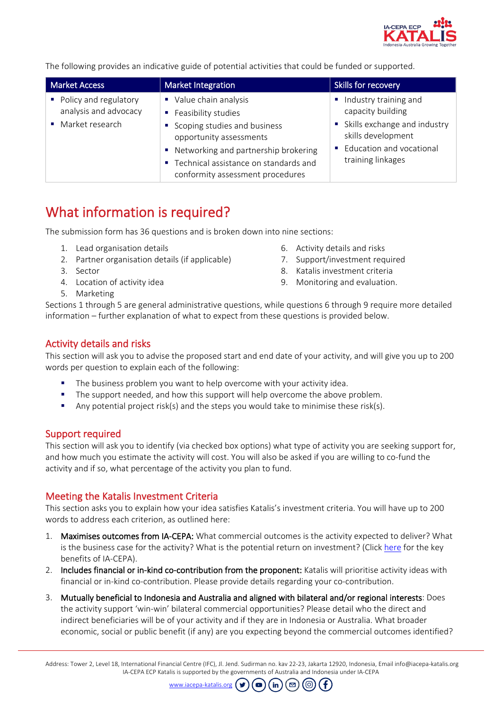

The following provides an indicative guide of potential activities that could be funded or supported.

| <b>Market Access</b>                                                | Market Integration                                                                                                                                                                                                              | Skills for recovery                                                                                                                               |
|---------------------------------------------------------------------|---------------------------------------------------------------------------------------------------------------------------------------------------------------------------------------------------------------------------------|---------------------------------------------------------------------------------------------------------------------------------------------------|
| • Policy and regulatory<br>analysis and advocacy<br>Market research | Value chain analysis<br>Feasibility studies<br>Scoping studies and business<br>opportunity assessments<br>• Networking and partnership brokering<br>■ Technical assistance on standards and<br>conformity assessment procedures | Industry training and<br>capacity building<br>Skills exchange and industry<br>skills development<br>Education and vocational<br>training linkages |

### What information is required?

The submission form has 36 questions and is broken down into nine sections:

- 1. Lead organisation details
- 2. Partner organisation details (if applicable)
- 3. Sector
- 4. Location of activity idea
- 5. Marketing
- 6. Activity details and risks
- 7. Support/investment required
- 8. Katalis investment criteria
- 9. Monitoring and evaluation.

Sections 1 through 5 are general administrative questions, while questions 6 through 9 require more detailed information – further explanation of what to expect from these questions is provided below.

#### Activity details and risks

This section will ask you to advise the proposed start and end date of your activity, and will give you up to 200 words per question to explain each of the following:

- The business problem you want to help overcome with your activity idea.
- The support needed, and how this support will help overcome the above problem.
- Any potential project risk(s) and the steps you would take to minimise these risk(s).

#### Support required

This section will ask you to identify (via checked box options) what type of activity you are seeking support for, and how much you estimate the activity will cost. You will also be asked if you are willing to co-fund the activity and if so, what percentage of the activity you plan to fund.

#### Meeting the Katalis Investment Criteria

This section asks you to explain how your idea satisfies Katalis's investment criteria. You will have up to 200 words to address each criterion, as outlined here:

- 1. Maximises outcomes from IA-CEPA: What commercial outcomes is the activity expected to deliver? What is the business case for the activity? What is the potential return on investment? (Click [here](https://www.iacepa-katalis.org/about-katalis/#about-katalis) for the key benefits of IA-CEPA).
- 2. Includes financial or in-kind co-contribution from the proponent: Katalis will prioritise activity ideas with financial or in-kind co-contribution. Please provide details regarding your co-contribution.
- 3. Mutually beneficial to Indonesia and Australia and aligned with bilateral and/or regional interests: Does the activity support 'win-win' bilateral commercial opportunities? Please detail who the direct and indirect beneficiaries will be of your activity and if they are in Indonesia or Australia. What broader economic, social or public benefit (if any) are you expecting beyond the commercial outcomes identified?

Address: Tower 2, Level 18, International Financial Centre (IFC), Jl. Jend. Sudirman no. kav 22-23, Jakarta 12920, Indonesia, Email info@iacepa-katalis.org IA-CEPA ECP Katalis is supported by the governments of Australia and Indonesia under IA-CEPA